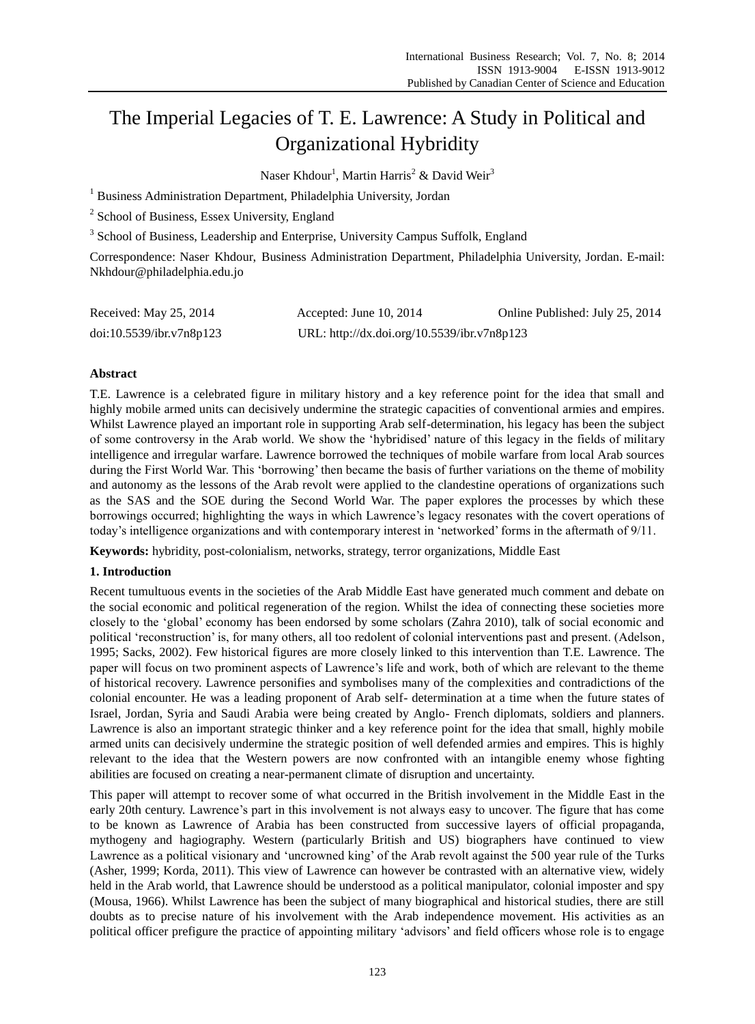# The Imperial Legacies of T. E. Lawrence: A Study in Political and Organizational Hybridity

Naser Khdour<sup>1</sup>, Martin Harris<sup>2</sup> & David Weir<sup>3</sup>

<sup>1</sup> Business Administration Department, Philadelphia University, Jordan

<sup>2</sup> School of Business, Essex University, England

<sup>3</sup> School of Business, Leadership and Enterprise, University Campus Suffolk, England

Correspondence: Naser Khdour, Business Administration Department, Philadelphia University, Jordan. E-mail: [Nkhdour@philadelphia.edu.jo](mailto:Nkhdour@philadelphia.edu.jo)

| Received: May 25, 2014   | Accepted: June 10, $2014$                   | Online Published: July 25, 2014 |
|--------------------------|---------------------------------------------|---------------------------------|
| doi:10.5539/ibr.v7n8p123 | URL: http://dx.doi.org/10.5539/ibr.v7n8p123 |                                 |

## **Abstract**

T.E. Lawrence is a celebrated figure in military history and a key reference point for the idea that small and highly mobile armed units can decisively undermine the strategic capacities of conventional armies and empires. Whilst Lawrence played an important role in supporting Arab self-determination, his legacy has been the subject of some controversy in the Arab world. We show the 'hybridised' nature of this legacy in the fields of military intelligence and irregular warfare. Lawrence borrowed the techniques of mobile warfare from local Arab sources during the First World War. This 'borrowing' then became the basis of further variations on the theme of mobility and autonomy as the lessons of the Arab revolt were applied to the clandestine operations of organizations such as the SAS and the SOE during the Second World War. The paper explores the processes by which these borrowings occurred; highlighting the ways in which Lawrence's legacy resonates with the covert operations of today's intelligence organizations and with contemporary interest in 'networked' forms in the aftermath of 9/11.

**Keywords:** hybridity, post-colonialism, networks, strategy, terror organizations, Middle East

# **1. Introduction**

Recent tumultuous events in the societies of the Arab Middle East have generated much comment and debate on the social economic and political regeneration of the region. Whilst the idea of connecting these societies more closely to the 'global' economy has been endorsed by some scholars (Zahra 2010), talk of social economic and political 'reconstruction' is, for many others, all too redolent of colonial interventions past and present. (Adelson, 1995; Sacks, 2002). Few historical figures are more closely linked to this intervention than T.E. Lawrence. The paper will focus on two prominent aspects of Lawrence's life and work, both of which are relevant to the theme of historical recovery. Lawrence personifies and symbolises many of the complexities and contradictions of the colonial encounter. He was a leading proponent of Arab self- determination at a time when the future states of Israel, Jordan, Syria and Saudi Arabia were being created by Anglo- French diplomats, soldiers and planners. Lawrence is also an important strategic thinker and a key reference point for the idea that small, highly mobile armed units can decisively undermine the strategic position of well defended armies and empires. This is highly relevant to the idea that the Western powers are now confronted with an intangible enemy whose fighting abilities are focused on creating a near-permanent climate of disruption and uncertainty.

This paper will attempt to recover some of what occurred in the British involvement in the Middle East in the early 20th century. Lawrence's part in this involvement is not always easy to uncover. The figure that has come to be known as Lawrence of Arabia has been constructed from successive layers of official propaganda, mythogeny and hagiography. Western (particularly British and US) biographers have continued to view Lawrence as a political visionary and 'uncrowned king' of the Arab revolt against the 500 year rule of the Turks (Asher, 1999; Korda, 2011). This view of Lawrence can however be contrasted with an alternative view, widely held in the Arab world, that Lawrence should be understood as a political manipulator, colonial imposter and spy (Mousa, 1966). Whilst Lawrence has been the subject of many biographical and historical studies, there are still doubts as to precise nature of his involvement with the Arab independence movement. His activities as an political officer prefigure the practice of appointing military 'advisors' and field officers whose role is to engage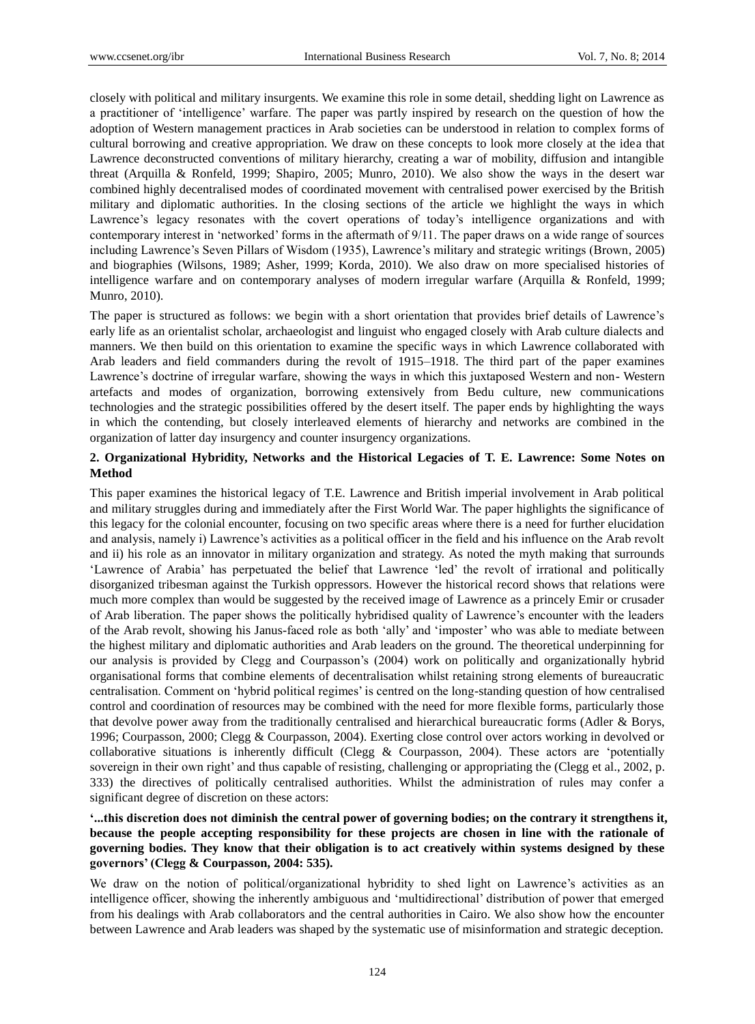closely with political and military insurgents. We examine this role in some detail, shedding light on Lawrence as a practitioner of 'intelligence' warfare. The paper was partly inspired by research on the question of how the adoption of Western management practices in Arab societies can be understood in relation to complex forms of cultural borrowing and creative appropriation. We draw on these concepts to look more closely at the idea that Lawrence deconstructed conventions of military hierarchy, creating a war of mobility, diffusion and intangible threat (Arquilla & Ronfeld, 1999; Shapiro, 2005; Munro, 2010). We also show the ways in the desert war combined highly decentralised modes of coordinated movement with centralised power exercised by the British military and diplomatic authorities. In the closing sections of the article we highlight the ways in which Lawrence's legacy resonates with the covert operations of today's intelligence organizations and with contemporary interest in 'networked' forms in the aftermath of 9/11. The paper draws on a wide range of sources including Lawrence's Seven Pillars of Wisdom (1935), Lawrence's military and strategic writings (Brown, 2005) and biographies (Wilsons, 1989; Asher, 1999; Korda, 2010). We also draw on more specialised histories of intelligence warfare and on contemporary analyses of modern irregular warfare (Arquilla & Ronfeld, 1999; Munro, 2010).

The paper is structured as follows: we begin with a short orientation that provides brief details of Lawrence's early life as an orientalist scholar, archaeologist and linguist who engaged closely with Arab culture dialects and manners. We then build on this orientation to examine the specific ways in which Lawrence collaborated with Arab leaders and field commanders during the revolt of 1915–1918. The third part of the paper examines Lawrence's doctrine of irregular warfare, showing the ways in which this juxtaposed Western and non- Western artefacts and modes of organization, borrowing extensively from Bedu culture, new communications technologies and the strategic possibilities offered by the desert itself. The paper ends by highlighting the ways in which the contending, but closely interleaved elements of hierarchy and networks are combined in the organization of latter day insurgency and counter insurgency organizations.

# **2. Organizational Hybridity, Networks and the Historical Legacies of T. E. Lawrence: Some Notes on Method**

This paper examines the historical legacy of T.E. Lawrence and British imperial involvement in Arab political and military struggles during and immediately after the First World War. The paper highlights the significance of this legacy for the colonial encounter, focusing on two specific areas where there is a need for further elucidation and analysis, namely i) Lawrence's activities as a political officer in the field and his influence on the Arab revolt and ii) his role as an innovator in military organization and strategy. As noted the myth making that surrounds 'Lawrence of Arabia' has perpetuated the belief that Lawrence 'led' the revolt of irrational and politically disorganized tribesman against the Turkish oppressors. However the historical record shows that relations were much more complex than would be suggested by the received image of Lawrence as a princely Emir or crusader of Arab liberation. The paper shows the politically hybridised quality of Lawrence's encounter with the leaders of the Arab revolt, showing his Janus-faced role as both 'ally' and 'imposter' who was able to mediate between the highest military and diplomatic authorities and Arab leaders on the ground. The theoretical underpinning for our analysis is provided by Clegg and Courpasson's (2004) work on politically and organizationally hybrid organisational forms that combine elements of decentralisation whilst retaining strong elements of bureaucratic centralisation. Comment on 'hybrid political regimes' is centred on the long-standing question of how centralised control and coordination of resources may be combined with the need for more flexible forms, particularly those that devolve power away from the traditionally centralised and hierarchical bureaucratic forms (Adler & Borys, 1996; Courpasson, 2000; Clegg & Courpasson, 2004). Exerting close control over actors working in devolved or collaborative situations is inherently difficult (Clegg & Courpasson, 2004). These actors are 'potentially sovereign in their own right' and thus capable of resisting, challenging or appropriating the (Clegg et al., 2002, p. 333) the directives of politically centralised authorities. Whilst the administration of rules may confer a significant degree of discretion on these actors:

# **'...this discretion does not diminish the central power of governing bodies; on the contrary it strengthens it, because the people accepting responsibility for these projects are chosen in line with the rationale of governing bodies. They know that their obligation is to act creatively within systems designed by these governors' (Clegg & Courpasson, 2004: 535).**

We draw on the notion of political/organizational hybridity to shed light on Lawrence's activities as an intelligence officer, showing the inherently ambiguous and 'multidirectional' distribution of power that emerged from his dealings with Arab collaborators and the central authorities in Cairo. We also show how the encounter between Lawrence and Arab leaders was shaped by the systematic use of misinformation and strategic deception.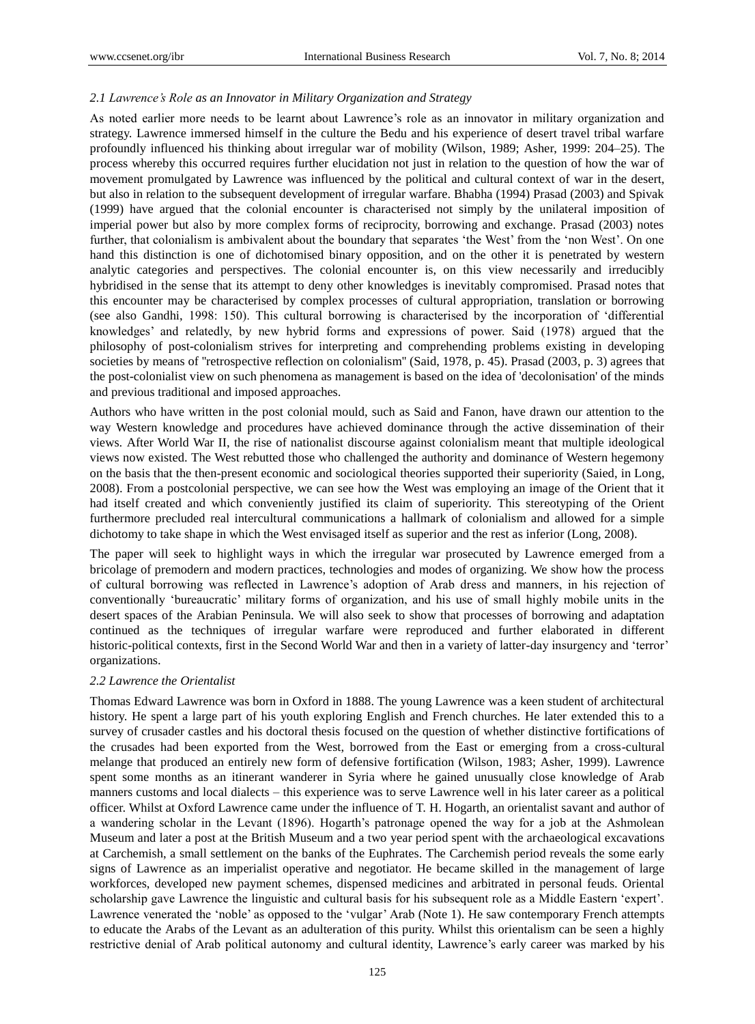### *2.1 Lawrence's Role as an Innovator in Military Organization and Strategy*

As noted earlier more needs to be learnt about Lawrence's role as an innovator in military organization and strategy. Lawrence immersed himself in the culture the Bedu and his experience of desert travel tribal warfare profoundly influenced his thinking about irregular war of mobility (Wilson, 1989; Asher, 1999: 204–25). The process whereby this occurred requires further elucidation not just in relation to the question of how the war of movement promulgated by Lawrence was influenced by the political and cultural context of war in the desert, but also in relation to the subsequent development of irregular warfare. Bhabha (1994) Prasad (2003) and Spivak (1999) have argued that the colonial encounter is characterised not simply by the unilateral imposition of imperial power but also by more complex forms of reciprocity, borrowing and exchange. Prasad (2003) notes further, that colonialism is ambivalent about the boundary that separates 'the West' from the 'non West'. On one hand this distinction is one of dichotomised binary opposition, and on the other it is penetrated by western analytic categories and perspectives. The colonial encounter is, on this view necessarily and irreducibly hybridised in the sense that its attempt to deny other knowledges is inevitably compromised. Prasad notes that this encounter may be characterised by complex processes of cultural appropriation, translation or borrowing (see also Gandhi, 1998: 150). This cultural borrowing is characterised by the incorporation of 'differential knowledges' and relatedly, by new hybrid forms and expressions of power. Said (1978) argued that the philosophy of post-colonialism strives for interpreting and comprehending problems existing in developing societies by means of ''retrospective reflection on colonialism'' (Said, 1978, p. 45). Prasad (2003, p. 3) agrees that the post-colonialist view on such phenomena as management is based on the idea of 'decolonisation' of the minds and previous traditional and imposed approaches.

Authors who have written in the post colonial mould, such as Said and Fanon, have drawn our attention to the way Western knowledge and procedures have achieved dominance through the active dissemination of their views. After World War II, the rise of nationalist discourse against colonialism meant that multiple ideological views now existed. The West rebutted those who challenged the authority and dominance of Western hegemony on the basis that the then-present economic and sociological theories supported their superiority (Saied, in Long, 2008). From a postcolonial perspective, we can see how the West was employing an image of the Orient that it had itself created and which conveniently justified its claim of superiority. This stereotyping of the Orient furthermore precluded real intercultural communications a hallmark of colonialism and allowed for a simple dichotomy to take shape in which the West envisaged itself as superior and the rest as inferior (Long, 2008).

The paper will seek to highlight ways in which the irregular war prosecuted by Lawrence emerged from a bricolage of premodern and modern practices, technologies and modes of organizing. We show how the process of cultural borrowing was reflected in Lawrence's adoption of Arab dress and manners, in his rejection of conventionally 'bureaucratic' military forms of organization, and his use of small highly mobile units in the desert spaces of the Arabian Peninsula. We will also seek to show that processes of borrowing and adaptation continued as the techniques of irregular warfare were reproduced and further elaborated in different historic-political contexts, first in the Second World War and then in a variety of latter-day insurgency and 'terror' organizations.

#### *2.2 Lawrence the Orientalist*

Thomas Edward Lawrence was born in Oxford in 1888. The young Lawrence was a keen student of architectural history. He spent a large part of his youth exploring English and French churches. He later extended this to a survey of crusader castles and his doctoral thesis focused on the question of whether distinctive fortifications of the crusades had been exported from the West, borrowed from the East or emerging from a cross-cultural melange that produced an entirely new form of defensive fortification (Wilson, 1983; Asher, 1999). Lawrence spent some months as an itinerant wanderer in Syria where he gained unusually close knowledge of Arab manners customs and local dialects – this experience was to serve Lawrence well in his later career as a political officer. Whilst at Oxford Lawrence came under the influence of T. H. Hogarth, an orientalist savant and author of a wandering scholar in the Levant (1896). Hogarth's patronage opened the way for a job at the Ashmolean Museum and later a post at the British Museum and a two year period spent with the archaeological excavations at Carchemish, a small settlement on the banks of the Euphrates. The Carchemish period reveals the some early signs of Lawrence as an imperialist operative and negotiator. He became skilled in the management of large workforces, developed new payment schemes, dispensed medicines and arbitrated in personal feuds. Oriental scholarship gave Lawrence the linguistic and cultural basis for his subsequent role as a Middle Eastern 'expert'. Lawrence venerated the 'noble' as opposed to the 'vulgar' Arab (Note 1). He saw contemporary French attempts to educate the Arabs of the Levant as an adulteration of this purity. Whilst this orientalism can be seen a highly restrictive denial of Arab political autonomy and cultural identity, Lawrence's early career was marked by his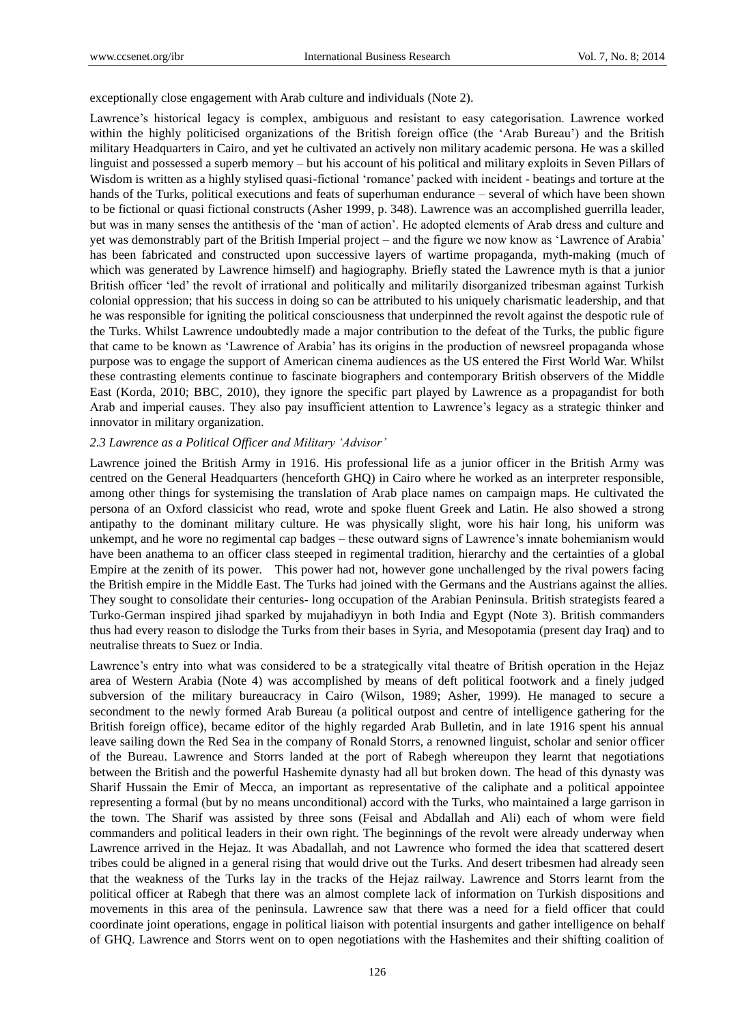exceptionally close engagement with Arab culture and individuals (Note 2).

Lawrence's historical legacy is complex, ambiguous and resistant to easy categorisation. Lawrence worked within the highly politicised organizations of the British foreign office (the 'Arab Bureau') and the British military Headquarters in Cairo, and yet he cultivated an actively non military academic persona. He was a skilled linguist and possessed a superb memory – but his account of his political and military exploits in Seven Pillars of Wisdom is written as a highly stylised quasi-fictional 'romance' packed with incident - beatings and torture at the hands of the Turks, political executions and feats of superhuman endurance – several of which have been shown to be fictional or quasi fictional constructs (Asher 1999, p. 348). Lawrence was an accomplished guerrilla leader, but was in many senses the antithesis of the 'man of action'. He adopted elements of Arab dress and culture and yet was demonstrably part of the British Imperial project – and the figure we now know as 'Lawrence of Arabia' has been fabricated and constructed upon successive layers of wartime propaganda, myth-making (much of which was generated by Lawrence himself) and hagiography. Briefly stated the Lawrence myth is that a junior British officer 'led' the revolt of irrational and politically and militarily disorganized tribesman against Turkish colonial oppression; that his success in doing so can be attributed to his uniquely charismatic leadership, and that he was responsible for igniting the political consciousness that underpinned the revolt against the despotic rule of the Turks. Whilst Lawrence undoubtedly made a major contribution to the defeat of the Turks, the public figure that came to be known as 'Lawrence of Arabia' has its origins in the production of newsreel propaganda whose purpose was to engage the support of American cinema audiences as the US entered the First World War. Whilst these contrasting elements continue to fascinate biographers and contemporary British observers of the Middle East (Korda, 2010; BBC, 2010), they ignore the specific part played by Lawrence as a propagandist for both Arab and imperial causes. They also pay insufficient attention to Lawrence's legacy as a strategic thinker and innovator in military organization.

## *2.3 Lawrence as a Political Officer and Military 'Advisor'*

Lawrence joined the British Army in 1916. His professional life as a junior officer in the British Army was centred on the General Headquarters (henceforth GHQ) in Cairo where he worked as an interpreter responsible, among other things for systemising the translation of Arab place names on campaign maps. He cultivated the persona of an Oxford classicist who read, wrote and spoke fluent Greek and Latin. He also showed a strong antipathy to the dominant military culture. He was physically slight, wore his hair long, his uniform was unkempt, and he wore no regimental cap badges – these outward signs of Lawrence's innate bohemianism would have been anathema to an officer class steeped in regimental tradition, hierarchy and the certainties of a global Empire at the zenith of its power. This power had not, however gone unchallenged by the rival powers facing the British empire in the Middle East. The Turks had joined with the Germans and the Austrians against the allies. They sought to consolidate their centuries- long occupation of the Arabian Peninsula. British strategists feared a Turko-German inspired jihad sparked by mujahadiyyn in both India and Egypt (Note 3). British commanders thus had every reason to dislodge the Turks from their bases in Syria, and Mesopotamia (present day Iraq) and to neutralise threats to Suez or India.

Lawrence's entry into what was considered to be a strategically vital theatre of British operation in the Hejaz area of Western Arabia (Note 4) was accomplished by means of deft political footwork and a finely judged subversion of the military bureaucracy in Cairo (Wilson, 1989; Asher, 1999). He managed to secure a secondment to the newly formed Arab Bureau (a political outpost and centre of intelligence gathering for the British foreign office), became editor of the highly regarded Arab Bulletin, and in late 1916 spent his annual leave sailing down the Red Sea in the company of Ronald Storrs, a renowned linguist, scholar and senior officer of the Bureau. Lawrence and Storrs landed at the port of Rabegh whereupon they learnt that negotiations between the British and the powerful Hashemite dynasty had all but broken down. The head of this dynasty was Sharif Hussain the Emir of Mecca, an important as representative of the caliphate and a political appointee representing a formal (but by no means unconditional) accord with the Turks, who maintained a large garrison in the town. The Sharif was assisted by three sons (Feisal and Abdallah and Ali) each of whom were field commanders and political leaders in their own right. The beginnings of the revolt were already underway when Lawrence arrived in the Hejaz. It was Abadallah, and not Lawrence who formed the idea that scattered desert tribes could be aligned in a general rising that would drive out the Turks. And desert tribesmen had already seen that the weakness of the Turks lay in the tracks of the Hejaz railway. Lawrence and Storrs learnt from the political officer at Rabegh that there was an almost complete lack of information on Turkish dispositions and movements in this area of the peninsula. Lawrence saw that there was a need for a field officer that could coordinate joint operations, engage in political liaison with potential insurgents and gather intelligence on behalf of GHQ. Lawrence and Storrs went on to open negotiations with the Hashemites and their shifting coalition of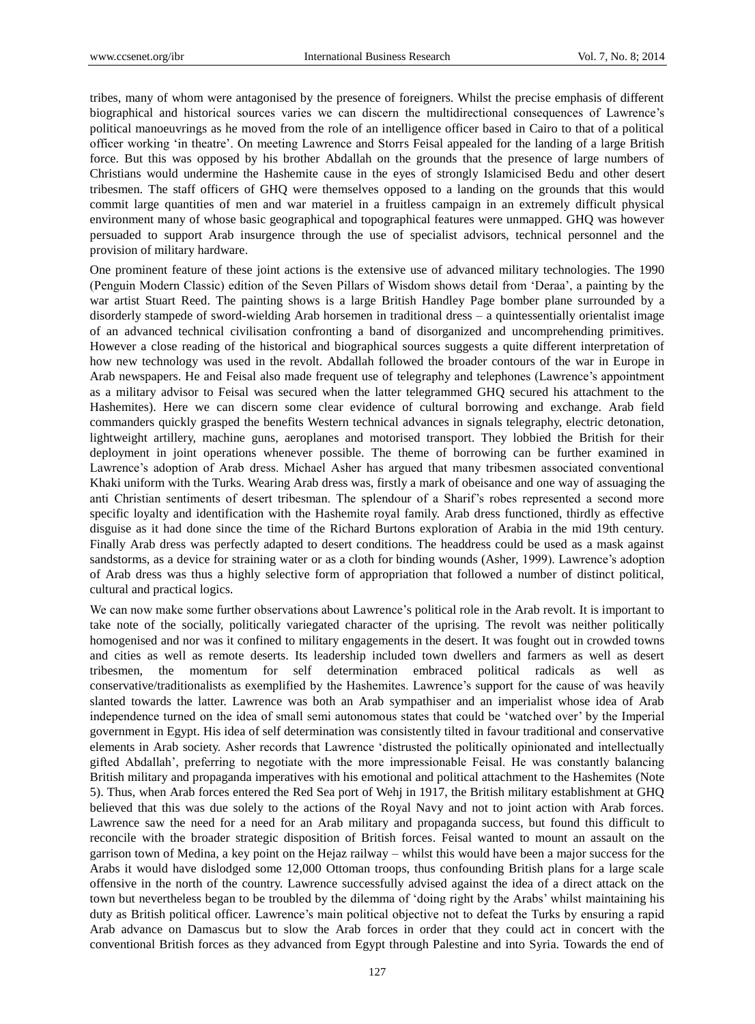tribes, many of whom were antagonised by the presence of foreigners. Whilst the precise emphasis of different biographical and historical sources varies we can discern the multidirectional consequences of Lawrence's political manoeuvrings as he moved from the role of an intelligence officer based in Cairo to that of a political officer working 'in theatre'. On meeting Lawrence and Storrs Feisal appealed for the landing of a large British force. But this was opposed by his brother Abdallah on the grounds that the presence of large numbers of Christians would undermine the Hashemite cause in the eyes of strongly Islamicised Bedu and other desert tribesmen. The staff officers of GHQ were themselves opposed to a landing on the grounds that this would commit large quantities of men and war materiel in a fruitless campaign in an extremely difficult physical environment many of whose basic geographical and topographical features were unmapped. GHQ was however persuaded to support Arab insurgence through the use of specialist advisors, technical personnel and the provision of military hardware.

One prominent feature of these joint actions is the extensive use of advanced military technologies. The 1990 (Penguin Modern Classic) edition of the Seven Pillars of Wisdom shows detail from 'Deraa', a painting by the war artist Stuart Reed. The painting shows is a large British Handley Page bomber plane surrounded by a disorderly stampede of sword-wielding Arab horsemen in traditional dress – a quintessentially orientalist image of an advanced technical civilisation confronting a band of disorganized and uncomprehending primitives. However a close reading of the historical and biographical sources suggests a quite different interpretation of how new technology was used in the revolt. Abdallah followed the broader contours of the war in Europe in Arab newspapers. He and Feisal also made frequent use of telegraphy and telephones (Lawrence's appointment as a military advisor to Feisal was secured when the latter telegrammed GHQ secured his attachment to the Hashemites). Here we can discern some clear evidence of cultural borrowing and exchange. Arab field commanders quickly grasped the benefits Western technical advances in signals telegraphy, electric detonation, lightweight artillery, machine guns, aeroplanes and motorised transport. They lobbied the British for their deployment in joint operations whenever possible. The theme of borrowing can be further examined in Lawrence's adoption of Arab dress. Michael Asher has argued that many tribesmen associated conventional Khaki uniform with the Turks. Wearing Arab dress was, firstly a mark of obeisance and one way of assuaging the anti Christian sentiments of desert tribesman. The splendour of a Sharif's robes represented a second more specific loyalty and identification with the Hashemite royal family. Arab dress functioned, thirdly as effective disguise as it had done since the time of the Richard Burtons exploration of Arabia in the mid 19th century. Finally Arab dress was perfectly adapted to desert conditions. The headdress could be used as a mask against sandstorms, as a device for straining water or as a cloth for binding wounds (Asher, 1999). Lawrence's adoption of Arab dress was thus a highly selective form of appropriation that followed a number of distinct political, cultural and practical logics.

We can now make some further observations about Lawrence's political role in the Arab revolt. It is important to take note of the socially, politically variegated character of the uprising. The revolt was neither politically homogenised and nor was it confined to military engagements in the desert. It was fought out in crowded towns and cities as well as remote deserts. Its leadership included town dwellers and farmers as well as desert tribesmen, the momentum for self determination embraced political radicals as well conservative/traditionalists as exemplified by the Hashemites. Lawrence's support for the cause of was heavily slanted towards the latter. Lawrence was both an Arab sympathiser and an imperialist whose idea of Arab independence turned on the idea of small semi autonomous states that could be 'watched over' by the Imperial government in Egypt. His idea of self determination was consistently tilted in favour traditional and conservative elements in Arab society. Asher records that Lawrence 'distrusted the politically opinionated and intellectually gifted Abdallah', preferring to negotiate with the more impressionable Feisal. He was constantly balancing British military and propaganda imperatives with his emotional and political attachment to the Hashemites (Note 5). Thus, when Arab forces entered the Red Sea port of Wehj in 1917, the British military establishment at GHQ believed that this was due solely to the actions of the Royal Navy and not to joint action with Arab forces. Lawrence saw the need for a need for an Arab military and propaganda success, but found this difficult to reconcile with the broader strategic disposition of British forces. Feisal wanted to mount an assault on the garrison town of Medina, a key point on the Hejaz railway – whilst this would have been a major success for the Arabs it would have dislodged some 12,000 Ottoman troops, thus confounding British plans for a large scale offensive in the north of the country. Lawrence successfully advised against the idea of a direct attack on the town but nevertheless began to be troubled by the dilemma of 'doing right by the Arabs' whilst maintaining his duty as British political officer. Lawrence's main political objective not to defeat the Turks by ensuring a rapid Arab advance on Damascus but to slow the Arab forces in order that they could act in concert with the conventional British forces as they advanced from Egypt through Palestine and into Syria. Towards the end of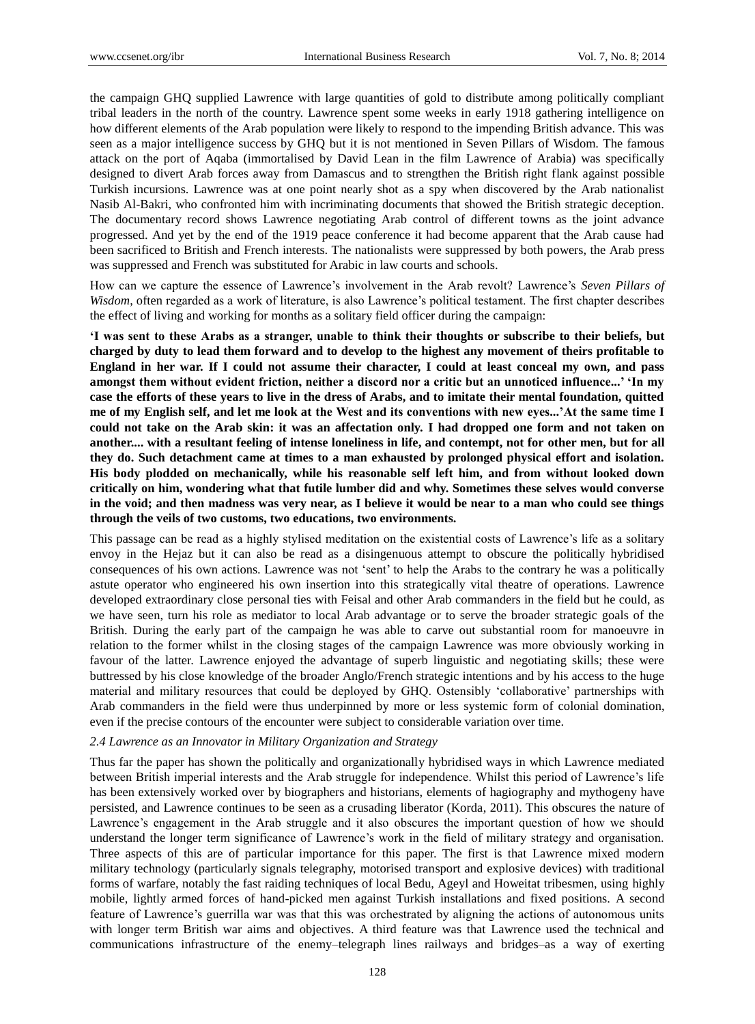the campaign GHQ supplied Lawrence with large quantities of gold to distribute among politically compliant tribal leaders in the north of the country. Lawrence spent some weeks in early 1918 gathering intelligence on how different elements of the Arab population were likely to respond to the impending British advance. This was seen as a major intelligence success by GHQ but it is not mentioned in Seven Pillars of Wisdom. The famous attack on the port of Aqaba (immortalised by David Lean in the film Lawrence of Arabia) was specifically designed to divert Arab forces away from Damascus and to strengthen the British right flank against possible Turkish incursions. Lawrence was at one point nearly shot as a spy when discovered by the Arab nationalist Nasib Al-Bakri, who confronted him with incriminating documents that showed the British strategic deception. The documentary record shows Lawrence negotiating Arab control of different towns as the joint advance progressed. And yet by the end of the 1919 peace conference it had become apparent that the Arab cause had been sacrificed to British and French interests. The nationalists were suppressed by both powers, the Arab press was suppressed and French was substituted for Arabic in law courts and schools.

How can we capture the essence of Lawrence's involvement in the Arab revolt? Lawrence's *Seven Pillars of Wisdom*, often regarded as a work of literature, is also Lawrence's political testament. The first chapter describes the effect of living and working for months as a solitary field officer during the campaign:

**'I was sent to these Arabs as a stranger, unable to think their thoughts or subscribe to their beliefs, but charged by duty to lead them forward and to develop to the highest any movement of theirs profitable to England in her war. If I could not assume their character, I could at least conceal my own, and pass amongst them without evident friction, neither a discord nor a critic but an unnoticed influence...' 'In my case the efforts of these years to live in the dress of Arabs, and to imitate their mental foundation, quitted me of my English self, and let me look at the West and its conventions with new eyes...'At the same time I could not take on the Arab skin: it was an affectation only. I had dropped one form and not taken on another.... with a resultant feeling of intense loneliness in life, and contempt, not for other men, but for all they do. Such detachment came at times to a man exhausted by prolonged physical effort and isolation. His body plodded on mechanically, while his reasonable self left him, and from without looked down critically on him, wondering what that futile lumber did and why. Sometimes these selves would converse in the void; and then madness was very near, as I believe it would be near to a man who could see things through the veils of two customs, two educations, two environments.** 

This passage can be read as a highly stylised meditation on the existential costs of Lawrence's life as a solitary envoy in the Hejaz but it can also be read as a disingenuous attempt to obscure the politically hybridised consequences of his own actions. Lawrence was not 'sent' to help the Arabs to the contrary he was a politically astute operator who engineered his own insertion into this strategically vital theatre of operations. Lawrence developed extraordinary close personal ties with Feisal and other Arab commanders in the field but he could, as we have seen, turn his role as mediator to local Arab advantage or to serve the broader strategic goals of the British. During the early part of the campaign he was able to carve out substantial room for manoeuvre in relation to the former whilst in the closing stages of the campaign Lawrence was more obviously working in favour of the latter. Lawrence enjoyed the advantage of superb linguistic and negotiating skills; these were buttressed by his close knowledge of the broader Anglo/French strategic intentions and by his access to the huge material and military resources that could be deployed by GHQ. Ostensibly 'collaborative' partnerships with Arab commanders in the field were thus underpinned by more or less systemic form of colonial domination, even if the precise contours of the encounter were subject to considerable variation over time.

#### *2.4 Lawrence as an Innovator in Military Organization and Strategy*

Thus far the paper has shown the politically and organizationally hybridised ways in which Lawrence mediated between British imperial interests and the Arab struggle for independence. Whilst this period of Lawrence's life has been extensively worked over by biographers and historians, elements of hagiography and mythogeny have persisted, and Lawrence continues to be seen as a crusading liberator (Korda, 2011). This obscures the nature of Lawrence's engagement in the Arab struggle and it also obscures the important question of how we should understand the longer term significance of Lawrence's work in the field of military strategy and organisation. Three aspects of this are of particular importance for this paper. The first is that Lawrence mixed modern military technology (particularly signals telegraphy, motorised transport and explosive devices) with traditional forms of warfare, notably the fast raiding techniques of local Bedu, Ageyl and Howeitat tribesmen, using highly mobile, lightly armed forces of hand-picked men against Turkish installations and fixed positions. A second feature of Lawrence's guerrilla war was that this was orchestrated by aligning the actions of autonomous units with longer term British war aims and objectives. A third feature was that Lawrence used the technical and communications infrastructure of the enemy–telegraph lines railways and bridges–as a way of exerting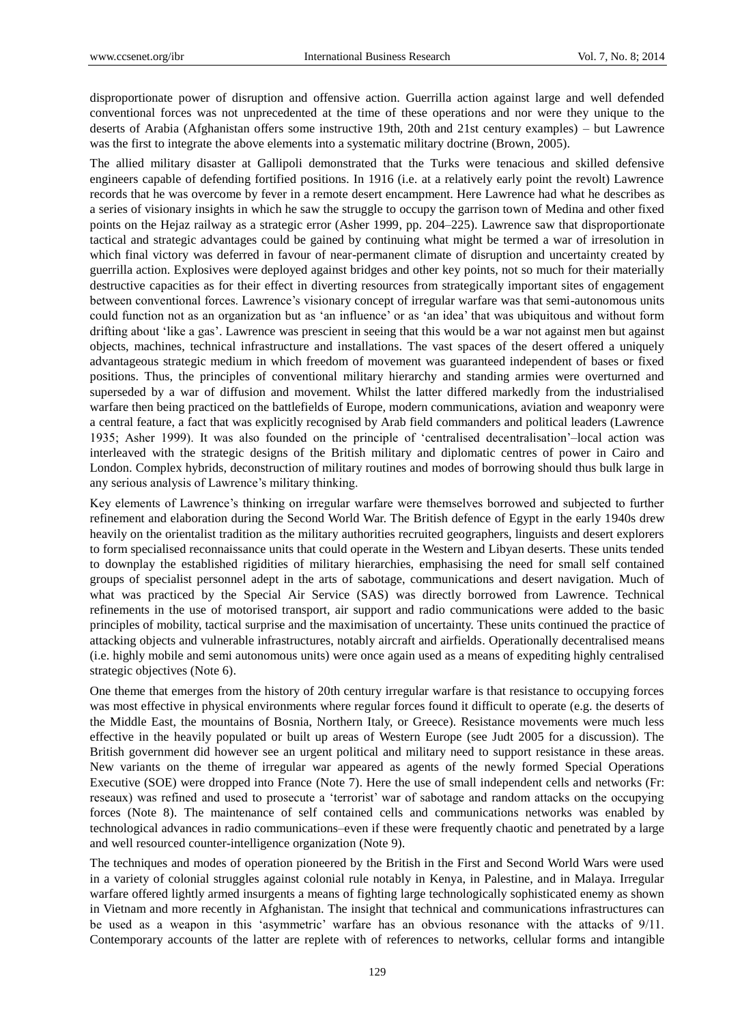disproportionate power of disruption and offensive action. Guerrilla action against large and well defended conventional forces was not unprecedented at the time of these operations and nor were they unique to the deserts of Arabia (Afghanistan offers some instructive 19th, 20th and 21st century examples) – but Lawrence was the first to integrate the above elements into a systematic military doctrine (Brown, 2005).

The allied military disaster at Gallipoli demonstrated that the Turks were tenacious and skilled defensive engineers capable of defending fortified positions. In 1916 (i.e. at a relatively early point the revolt) Lawrence records that he was overcome by fever in a remote desert encampment. Here Lawrence had what he describes as a series of visionary insights in which he saw the struggle to occupy the garrison town of Medina and other fixed points on the Hejaz railway as a strategic error (Asher 1999, pp. 204–225). Lawrence saw that disproportionate tactical and strategic advantages could be gained by continuing what might be termed a war of irresolution in which final victory was deferred in favour of near-permanent climate of disruption and uncertainty created by guerrilla action. Explosives were deployed against bridges and other key points, not so much for their materially destructive capacities as for their effect in diverting resources from strategically important sites of engagement between conventional forces. Lawrence's visionary concept of irregular warfare was that semi-autonomous units could function not as an organization but as 'an influence' or as 'an idea' that was ubiquitous and without form drifting about 'like a gas'. Lawrence was prescient in seeing that this would be a war not against men but against objects, machines, technical infrastructure and installations. The vast spaces of the desert offered a uniquely advantageous strategic medium in which freedom of movement was guaranteed independent of bases or fixed positions. Thus, the principles of conventional military hierarchy and standing armies were overturned and superseded by a war of diffusion and movement. Whilst the latter differed markedly from the industrialised warfare then being practiced on the battlefields of Europe, modern communications, aviation and weaponry were a central feature, a fact that was explicitly recognised by Arab field commanders and political leaders (Lawrence 1935; Asher 1999). It was also founded on the principle of 'centralised decentralisation'–local action was interleaved with the strategic designs of the British military and diplomatic centres of power in Cairo and London. Complex hybrids, deconstruction of military routines and modes of borrowing should thus bulk large in any serious analysis of Lawrence's military thinking.

Key elements of Lawrence's thinking on irregular warfare were themselves borrowed and subjected to further refinement and elaboration during the Second World War. The British defence of Egypt in the early 1940s drew heavily on the orientalist tradition as the military authorities recruited geographers, linguists and desert explorers to form specialised reconnaissance units that could operate in the Western and Libyan deserts. These units tended to downplay the established rigidities of military hierarchies, emphasising the need for small self contained groups of specialist personnel adept in the arts of sabotage, communications and desert navigation. Much of what was practiced by the Special Air Service (SAS) was directly borrowed from Lawrence. Technical refinements in the use of motorised transport, air support and radio communications were added to the basic principles of mobility, tactical surprise and the maximisation of uncertainty. These units continued the practice of attacking objects and vulnerable infrastructures, notably aircraft and airfields. Operationally decentralised means (i.e. highly mobile and semi autonomous units) were once again used as a means of expediting highly centralised strategic objectives (Note 6).

One theme that emerges from the history of 20th century irregular warfare is that resistance to occupying forces was most effective in physical environments where regular forces found it difficult to operate (e.g. the deserts of the Middle East, the mountains of Bosnia, Northern Italy, or Greece). Resistance movements were much less effective in the heavily populated or built up areas of Western Europe (see Judt 2005 for a discussion). The British government did however see an urgent political and military need to support resistance in these areas. New variants on the theme of irregular war appeared as agents of the newly formed Special Operations Executive (SOE) were dropped into France (Note 7). Here the use of small independent cells and networks (Fr: reseaux) was refined and used to prosecute a 'terrorist' war of sabotage and random attacks on the occupying forces (Note 8). The maintenance of self contained cells and communications networks was enabled by technological advances in radio communications–even if these were frequently chaotic and penetrated by a large and well resourced counter-intelligence organization (Note 9).

The techniques and modes of operation pioneered by the British in the First and Second World Wars were used in a variety of colonial struggles against colonial rule notably in Kenya, in Palestine, and in Malaya. Irregular warfare offered lightly armed insurgents a means of fighting large technologically sophisticated enemy as shown in Vietnam and more recently in Afghanistan. The insight that technical and communications infrastructures can be used as a weapon in this 'asymmetric' warfare has an obvious resonance with the attacks of 9/11. Contemporary accounts of the latter are replete with of references to networks, cellular forms and intangible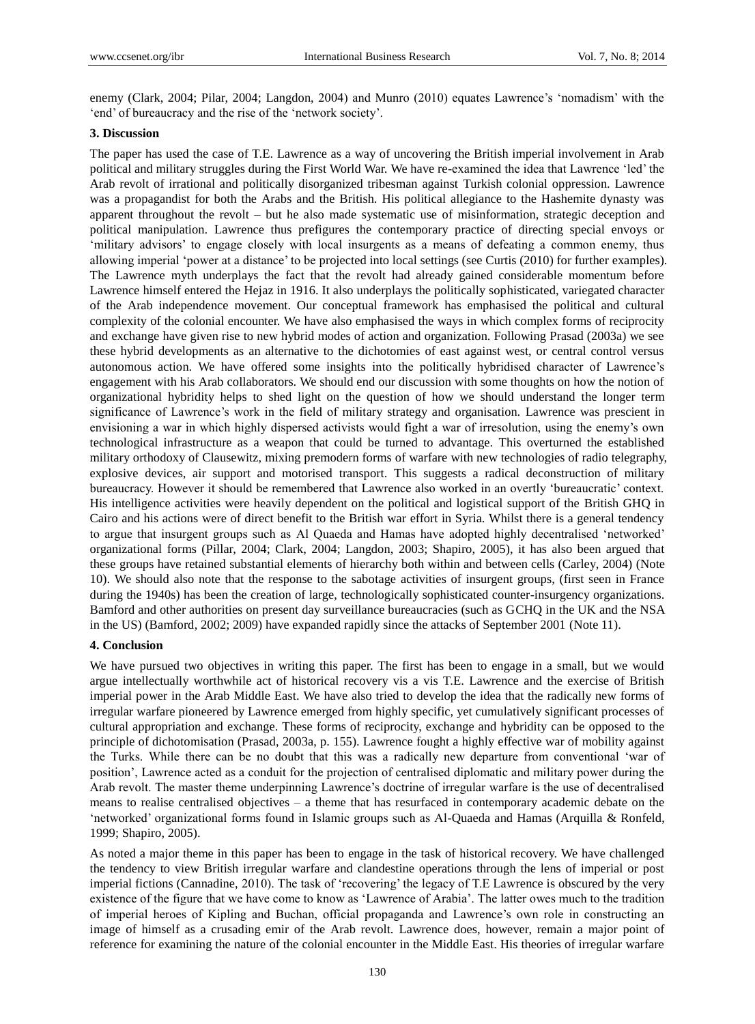enemy (Clark, 2004; Pilar, 2004; Langdon, 2004) and Munro (2010) equates Lawrence's 'nomadism' with the 'end' of bureaucracy and the rise of the 'network society'.

### **3. Discussion**

The paper has used the case of T.E. Lawrence as a way of uncovering the British imperial involvement in Arab political and military struggles during the First World War. We have re-examined the idea that Lawrence 'led' the Arab revolt of irrational and politically disorganized tribesman against Turkish colonial oppression. Lawrence was a propagandist for both the Arabs and the British. His political allegiance to the Hashemite dynasty was apparent throughout the revolt – but he also made systematic use of misinformation, strategic deception and political manipulation. Lawrence thus prefigures the contemporary practice of directing special envoys or 'military advisors' to engage closely with local insurgents as a means of defeating a common enemy, thus allowing imperial 'power at a distance' to be projected into local settings (see Curtis (2010) for further examples). The Lawrence myth underplays the fact that the revolt had already gained considerable momentum before Lawrence himself entered the Hejaz in 1916. It also underplays the politically sophisticated, variegated character of the Arab independence movement. Our conceptual framework has emphasised the political and cultural complexity of the colonial encounter. We have also emphasised the ways in which complex forms of reciprocity and exchange have given rise to new hybrid modes of action and organization. Following Prasad (2003a) we see these hybrid developments as an alternative to the dichotomies of east against west, or central control versus autonomous action. We have offered some insights into the politically hybridised character of Lawrence's engagement with his Arab collaborators. We should end our discussion with some thoughts on how the notion of organizational hybridity helps to shed light on the question of how we should understand the longer term significance of Lawrence's work in the field of military strategy and organisation. Lawrence was prescient in envisioning a war in which highly dispersed activists would fight a war of irresolution, using the enemy's own technological infrastructure as a weapon that could be turned to advantage. This overturned the established military orthodoxy of Clausewitz, mixing premodern forms of warfare with new technologies of radio telegraphy, explosive devices, air support and motorised transport. This suggests a radical deconstruction of military bureaucracy. However it should be remembered that Lawrence also worked in an overtly 'bureaucratic' context. His intelligence activities were heavily dependent on the political and logistical support of the British GHQ in Cairo and his actions were of direct benefit to the British war effort in Syria. Whilst there is a general tendency to argue that insurgent groups such as Al Quaeda and Hamas have adopted highly decentralised 'networked' organizational forms (Pillar, 2004; Clark, 2004; Langdon, 2003; Shapiro, 2005), it has also been argued that these groups have retained substantial elements of hierarchy both within and between cells (Carley, 2004) (Note 10). We should also note that the response to the sabotage activities of insurgent groups, (first seen in France during the 1940s) has been the creation of large, technologically sophisticated counter-insurgency organizations. Bamford and other authorities on present day surveillance bureaucracies (such as GCHQ in the UK and the NSA in the US) (Bamford, 2002; 2009) have expanded rapidly since the attacks of September 2001 (Note 11).

### **4. Conclusion**

We have pursued two objectives in writing this paper. The first has been to engage in a small, but we would argue intellectually worthwhile act of historical recovery vis a vis T.E. Lawrence and the exercise of British imperial power in the Arab Middle East. We have also tried to develop the idea that the radically new forms of irregular warfare pioneered by Lawrence emerged from highly specific, yet cumulatively significant processes of cultural appropriation and exchange. These forms of reciprocity, exchange and hybridity can be opposed to the principle of dichotomisation (Prasad, 2003a, p. 155). Lawrence fought a highly effective war of mobility against the Turks. While there can be no doubt that this was a radically new departure from conventional 'war of position', Lawrence acted as a conduit for the projection of centralised diplomatic and military power during the Arab revolt. The master theme underpinning Lawrence's doctrine of irregular warfare is the use of decentralised means to realise centralised objectives – a theme that has resurfaced in contemporary academic debate on the 'networked' organizational forms found in Islamic groups such as Al-Quaeda and Hamas (Arquilla & Ronfeld, 1999; Shapiro, 2005).

As noted a major theme in this paper has been to engage in the task of historical recovery. We have challenged the tendency to view British irregular warfare and clandestine operations through the lens of imperial or post imperial fictions (Cannadine, 2010). The task of 'recovering' the legacy of T.E Lawrence is obscured by the very existence of the figure that we have come to know as 'Lawrence of Arabia'. The latter owes much to the tradition of imperial heroes of Kipling and Buchan, official propaganda and Lawrence's own role in constructing an image of himself as a crusading emir of the Arab revolt. Lawrence does, however, remain a major point of reference for examining the nature of the colonial encounter in the Middle East. His theories of irregular warfare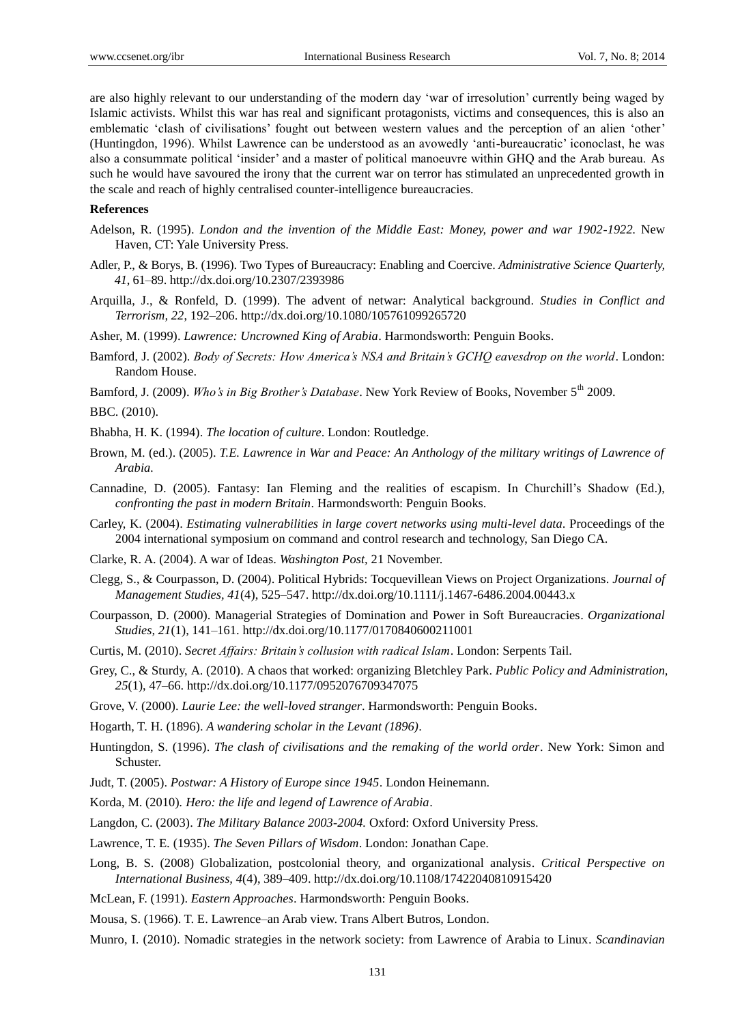are also highly relevant to our understanding of the modern day 'war of irresolution' currently being waged by Islamic activists. Whilst this war has real and significant protagonists, victims and consequences, this is also an emblematic 'clash of civilisations' fought out between western values and the perception of an alien 'other' (Huntingdon, 1996). Whilst Lawrence can be understood as an avowedly 'anti-bureaucratic' iconoclast, he was also a consummate political 'insider' and a master of political manoeuvre within GHQ and the Arab bureau. As such he would have savoured the irony that the current war on terror has stimulated an unprecedented growth in the scale and reach of highly centralised counter-intelligence bureaucracies.

#### **References**

- Adelson, R. (1995). *London and the invention of the Middle East: Money, power and war 1902-1922.* New Haven, CT: Yale University Press.
- Adler, P., & Borys, B. (1996). Two Types of Bureaucracy: Enabling and Coercive. *Administrative Science Quarterly, 41*, 61–89. http://dx.doi.org/10.2307/2393986
- Arquilla, J., & Ronfeld, D. (1999). The advent of netwar: Analytical background. *Studies in Conflict and Terrorism, 22*, 192–206. http://dx.doi.org/10.1080/105761099265720
- Asher, M. (1999). *Lawrence: Uncrowned King of Arabia*. Harmondsworth: Penguin Books.
- Bamford, J. (2002). *Body of Secrets: How America's NSA and Britain's GCHQ eavesdrop on the world*. London: Random House.
- Bamford, J. (2009). *Who's in Big Brother's Database*. New York Review of Books, November 5<sup>th</sup> 2009.

BBC. (2010).

- Bhabha, H. K. (1994). *The location of culture*. London: Routledge.
- Brown, M. (ed.). (2005). *T.E. Lawrence in War and Peace: An Anthology of the military writings of Lawrence of Arabia.*
- Cannadine, D. (2005). Fantasy: Ian Fleming and the realities of escapism. In Churchill's Shadow (Ed.), *confronting the past in modern Britain*. Harmondsworth: Penguin Books.
- Carley, K. (2004). *Estimating vulnerabilities in large covert networks using multi-level data*. Proceedings of the 2004 international symposium on command and control research and technology, San Diego CA.
- Clarke, R. A. (2004). A war of Ideas. *Washington Post,* 21 November.
- Clegg, S., & Courpasson, D. (2004). Political Hybrids: Tocquevillean Views on Project Organizations. *Journal of Management Studies, 41*(4), 525–547. http://dx.doi.org/10.1111/j.1467-6486.2004.00443.x
- Courpasson, D. (2000). Managerial Strategies of Domination and Power in Soft Bureaucracies. *Organizational Studies, 21*(1), 141–161. http://dx.doi.org/10.1177/0170840600211001
- Curtis, M. (2010). *Secret Affairs: Britain's collusion with radical Islam*. London: Serpents Tail.
- Grey, C., & Sturdy, A. (2010). A chaos that worked: organizing Bletchley Park. *Public Policy and Administration, 25*(1), 47–66. http://dx.doi.org/10.1177/0952076709347075
- Grove, V. (2000). *Laurie Lee: the well-loved stranger*. Harmondsworth: Penguin Books.
- Hogarth, T. H. (1896). *A wandering scholar in the Levant (1896)*.
- Huntingdon, S. (1996). *The clash of civilisations and the remaking of the world order*. New York: Simon and Schuster.
- Judt, T. (2005). *Postwar: A History of Europe since 1945*. London Heinemann.
- Korda, M. (2010)*. Hero: the life and legend of Lawrence of Arabia*.
- Langdon, C. (2003). *The Military Balance 2003-2004.* Oxford: Oxford University Press.
- Lawrence, T. E*.* (1935). *The Seven Pillars of Wisdom*. London: Jonathan Cape.
- Long, B. S. (2008) Globalization, postcolonial theory, and organizational analysis. *Critical Perspective on International Business, 4*(4), 389–409. http://dx.doi.org/10.1108/17422040810915420
- McLean, F. (1991). *Eastern Approaches*. Harmondsworth: Penguin Books.
- Mousa, S. (1966). T. E. Lawrence–an Arab view. Trans Albert Butros, London.
- Munro, I. (2010). Nomadic strategies in the network society: from Lawrence of Arabia to Linux. *Scandinavian*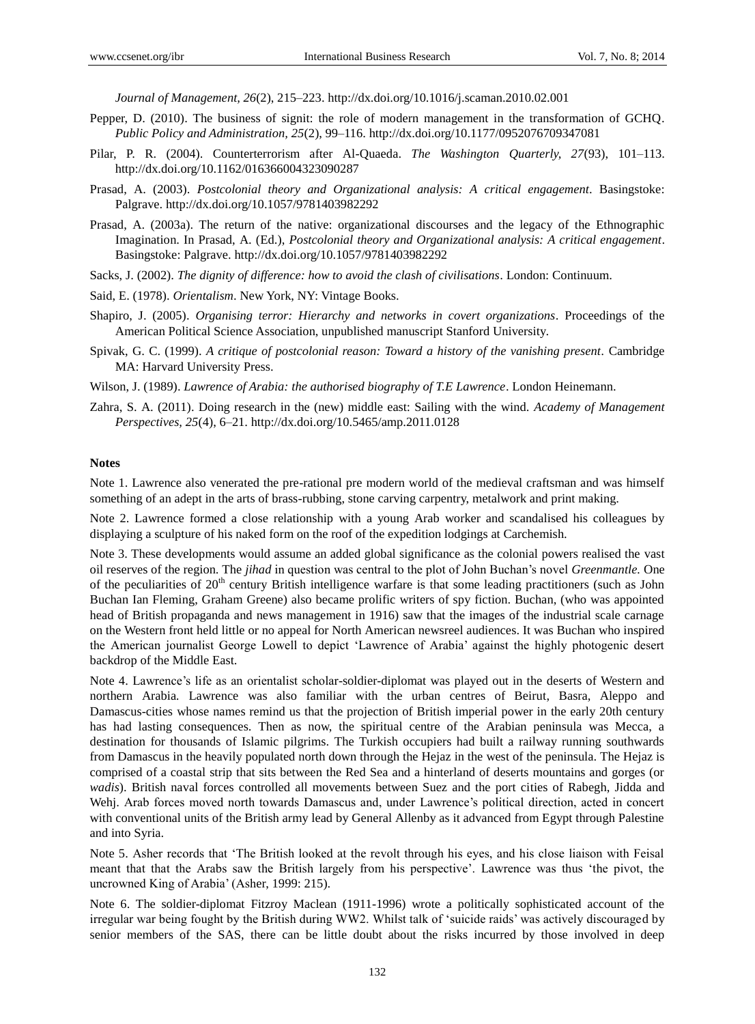*Journal of Management, 26*(2), 215–223. http://dx.doi.org/10.1016/j.scaman.2010.02.001

- Pepper, D. (2010). The business of signit: the role of modern management in the transformation of GCHQ. *Public Policy and Administration, 25*(2), 99–116. http://dx.doi.org/10.1177/0952076709347081
- Pilar, P. R. (2004). Counterterrorism after Al-Quaeda. *The Washington Quarterly, 27*(93), 101–113. http://dx.doi.org/10.1162/016366004323090287
- Prasad, A. (2003). *Postcolonial theory and Organizational analysis: A critical engagement*. Basingstoke: Palgrave. http://dx.doi.org/10.1057/9781403982292
- Prasad, A. (2003a). The return of the native: organizational discourses and the legacy of the Ethnographic Imagination. In Prasad, A. (Ed.), *Postcolonial theory and Organizational analysis: A critical engagement*. Basingstoke: Palgrave. http://dx.doi.org/10.1057/9781403982292
- Sacks, J. (2002). *The dignity of difference: how to avoid the clash of civilisations*. London: Continuum.
- Said, E. (1978). *Orientalism*. New York, NY: Vintage Books.
- Shapiro, J. (2005). *Organising terror: Hierarchy and networks in covert organizations*. Proceedings of the American Political Science Association, unpublished manuscript Stanford University.
- Spivak, G. C. (1999). *A critique of postcolonial reason: Toward a history of the vanishing present.* Cambridge MA: Harvard University Press.
- Wilson, J. (1989). *Lawrence of Arabia: the authorised biography of T.E Lawrence*. London Heinemann.
- Zahra, S. A. (2011). Doing research in the (new) middle east: Sailing with the wind. *Academy of Management Perspectives, 25*(4), 6–21. http://dx.doi.org/10.5465/amp.2011.0128

#### **Notes**

Note 1. Lawrence also venerated the pre-rational pre modern world of the medieval craftsman and was himself something of an adept in the arts of brass-rubbing, stone carving carpentry, metalwork and print making.

Note 2. Lawrence formed a close relationship with a young Arab worker and scandalised his colleagues by displaying a sculpture of his naked form on the roof of the expedition lodgings at Carchemish.

Note 3. These developments would assume an added global significance as the colonial powers realised the vast oil reserves of the region. The *jihad* in question was central to the plot of John Buchan's novel *Greenmantle.* One of the peculiarities of  $20<sup>th</sup>$  century British intelligence warfare is that some leading practitioners (such as John Buchan Ian Fleming, Graham Greene) also became prolific writers of spy fiction. Buchan, (who was appointed head of British propaganda and news management in 1916) saw that the images of the industrial scale carnage on the Western front held little or no appeal for North American newsreel audiences. It was Buchan who inspired the American journalist George Lowell to depict 'Lawrence of Arabia' against the highly photogenic desert backdrop of the Middle East.

Note 4. Lawrence's life as an orientalist scholar-soldier-diplomat was played out in the deserts of Western and northern Arabia*.* Lawrence was also familiar with the urban centres of Beirut, Basra, Aleppo and Damascus-cities whose names remind us that the projection of British imperial power in the early 20th century has had lasting consequences. Then as now, the spiritual centre of the Arabian peninsula was Mecca, a destination for thousands of Islamic pilgrims. The Turkish occupiers had built a railway running southwards from Damascus in the heavily populated north down through the Hejaz in the west of the peninsula. The Hejaz is comprised of a coastal strip that sits between the Red Sea and a hinterland of deserts mountains and gorges (or *wadis*). British naval forces controlled all movements between Suez and the port cities of Rabegh, Jidda and Wehj. Arab forces moved north towards Damascus and, under Lawrence's political direction, acted in concert with conventional units of the British army lead by General Allenby as it advanced from Egypt through Palestine and into Syria.

Note 5. Asher records that 'The British looked at the revolt through his eyes, and his close liaison with Feisal meant that that the Arabs saw the British largely from his perspective'. Lawrence was thus 'the pivot, the uncrowned King of Arabia' (Asher, 1999: 215).

Note 6. The soldier-diplomat Fitzroy Maclean (1911-1996) wrote a politically sophisticated account of the irregular war being fought by the British during WW2. Whilst talk of 'suicide raids' was actively discouraged by senior members of the SAS, there can be little doubt about the risks incurred by those involved in deep